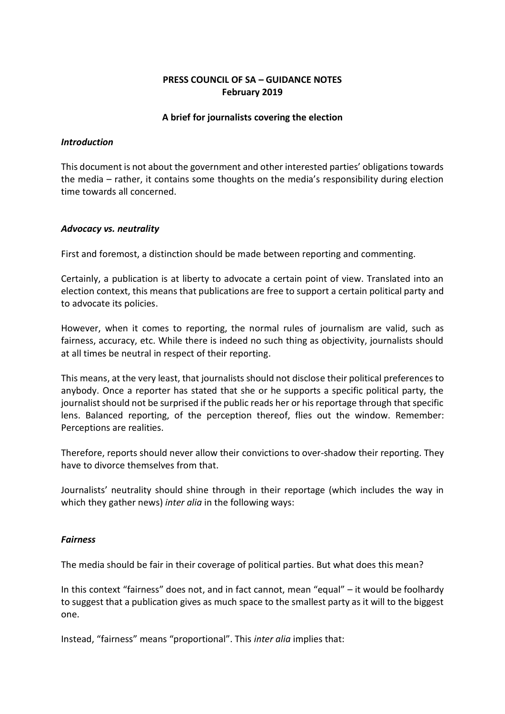## **PRESS COUNCIL OF SA – GUIDANCE NOTES February 2019**

#### **A brief for journalists covering the election**

#### *Introduction*

This document is not about the government and other interested parties' obligations towards the media – rather, it contains some thoughts on the media's responsibility during election time towards all concerned.

#### *Advocacy vs. neutrality*

First and foremost, a distinction should be made between reporting and commenting.

Certainly, a publication is at liberty to advocate a certain point of view. Translated into an election context, this means that publications are free to support a certain political party and to advocate its policies.

However, when it comes to reporting, the normal rules of journalism are valid, such as fairness, accuracy, etc. While there is indeed no such thing as objectivity, journalists should at all times be neutral in respect of their reporting.

This means, at the very least, that journalists should not disclose their political preferences to anybody. Once a reporter has stated that she or he supports a specific political party, the journalist should not be surprised if the public reads her or his reportage through that specific lens. Balanced reporting, of the perception thereof, flies out the window. Remember: Perceptions are realities.

Therefore, reports should never allow their convictions to over-shadow their reporting. They have to divorce themselves from that.

Journalists' neutrality should shine through in their reportage (which includes the way in which they gather news) *inter alia* in the following ways:

#### *Fairness*

The media should be fair in their coverage of political parties. But what does this mean?

In this context "fairness" does not, and in fact cannot, mean "equal" – it would be foolhardy to suggest that a publication gives as much space to the smallest party as it will to the biggest one.

Instead, "fairness" means "proportional". This *inter alia* implies that: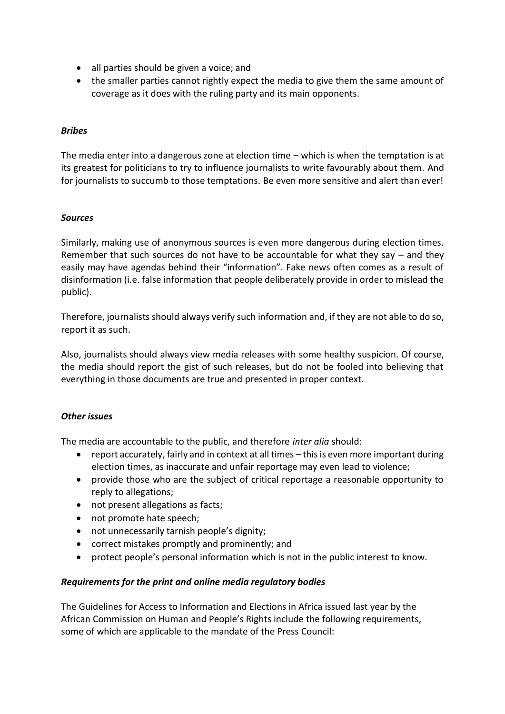- all parties should be given a voice; and
- the smaller parties cannot rightly expect the media to give them the same amount of coverage as it does with the ruling party and its main opponents.

## *Bribes*

The media enter into a dangerous zone at election time – which is when the temptation is at its greatest for politicians to try to influence journalists to write favourably about them. And for journalists to succumb to those temptations. Be even more sensitive and alert than ever!

## *Sources*

Similarly, making use of anonymous sources is even more dangerous during election times. Remember that such sources do not have to be accountable for what they say  $-$  and they easily may have agendas behind their "information". Fake news often comes as a result of disinformation (i.e. false information that people deliberately provide in order to mislead the public).

Therefore, journalists should always verify such information and, if they are not able to do so, report it as such.

Also, journalists should always view media releases with some healthy suspicion. Of course, the media should report the gist of such releases, but do not be fooled into believing that everything in those documents are true and presented in proper context.

#### *Other issues*

The media are accountable to the public, and therefore *inter alia* should:

- report accurately, fairly and in context at all times this is even more important during election times, as inaccurate and unfair reportage may even lead to violence;
- provide those who are the subject of critical reportage a reasonable opportunity to reply to allegations;
- not present allegations as facts;
- not promote hate speech;
- not unnecessarily tarnish people's dignity;
- correct mistakes promptly and prominently; and
- protect people's personal information which is not in the public interest to know.

## *Requirements for the print and online media regulatory bodies*

The Guidelines for Access to Information and Elections in Africa issued last year by the African Commission on Human and People's Rights include the following requirements, some of which are applicable to the mandate of the Press Council: